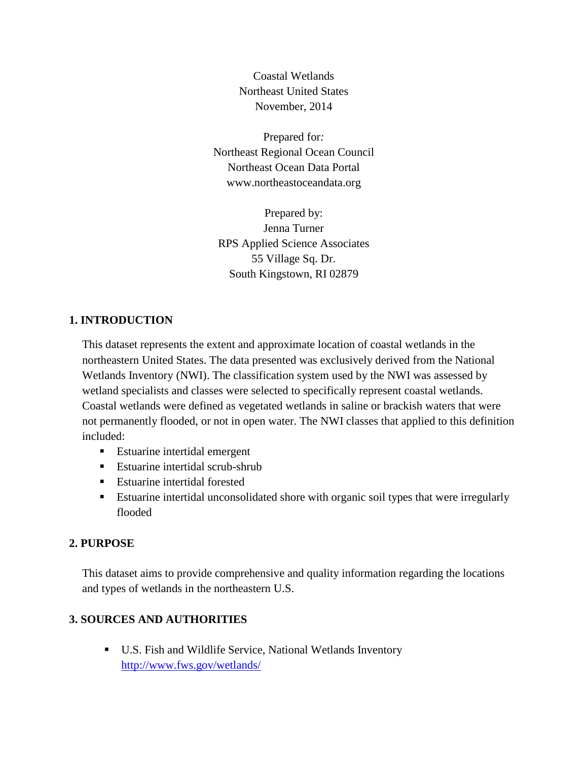Coastal Wetlands Northeast United States November, 2014

Prepared for*:* Northeast Regional Ocean Council Northeast Ocean Data Portal www.northeastoceandata.org

Prepared by: Jenna Turner RPS Applied Science Associates 55 Village Sq. Dr. South Kingstown, RI 02879

## **1. INTRODUCTION**

This dataset represents the extent and approximate location of coastal wetlands in the northeastern United States. The data presented was exclusively derived from the National Wetlands Inventory (NWI). The classification system used by the NWI was assessed by wetland specialists and classes were selected to specifically represent coastal wetlands. Coastal wetlands were defined as vegetated wetlands in saline or brackish waters that were not permanently flooded, or not in open water. The NWI classes that applied to this definition included:

- Estuarine intertidal emergent
- Estuarine intertidal scrub-shrub
- Estuarine intertidal forested
- Estuarine intertidal unconsolidated shore with organic soil types that were irregularly flooded

# **2. PURPOSE**

This dataset aims to provide comprehensive and quality information regarding the locations and types of wetlands in the northeastern U.S.

# **3. SOURCES AND AUTHORITIES**

 U.S. Fish and Wildlife Service, National Wetlands Inventory <http://www.fws.gov/wetlands/>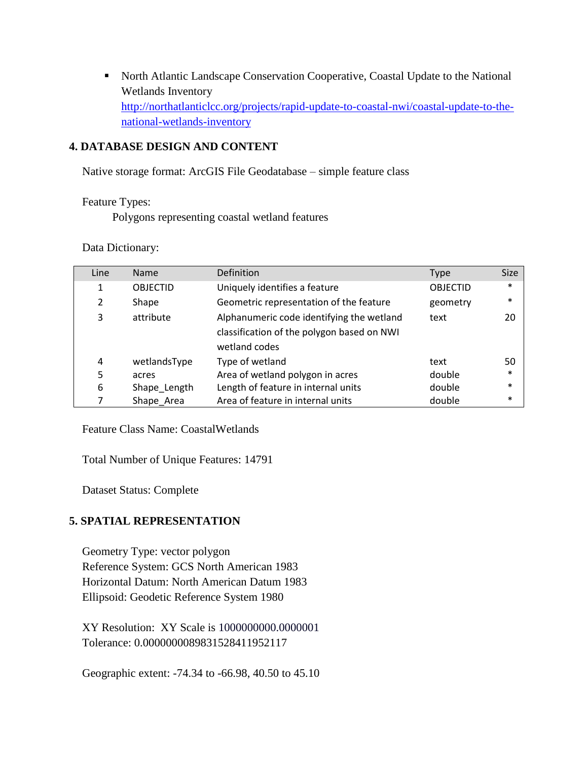• North Atlantic Landscape Conservation Cooperative, Coastal Update to the National Wetlands Inventory [http://northatlanticlcc.org/projects/rapid-update-to-coastal-nwi/coastal-update-to-the](http://northatlanticlcc.org/projects/rapid-update-to-coastal-nwi/coastal-update-to-the-national-wetlands-inventory)[national-wetlands-inventory](http://northatlanticlcc.org/projects/rapid-update-to-coastal-nwi/coastal-update-to-the-national-wetlands-inventory)

### **4. DATABASE DESIGN AND CONTENT**

Native storage format: ArcGIS File Geodatabase – simple feature class

#### Feature Types:

Polygons representing coastal wetland features

#### Data Dictionary:

| Line | <b>Name</b>     | Definition                                 | <b>Type</b>     | Size   |
|------|-----------------|--------------------------------------------|-----------------|--------|
| 1    | <b>OBJECTID</b> | Uniquely identifies a feature              | <b>OBJECTID</b> | $\ast$ |
| 2    | Shape           | Geometric representation of the feature    | geometry        | $\ast$ |
| 3    | attribute       | Alphanumeric code identifying the wetland  | text            | 20     |
|      |                 | classification of the polygon based on NWI |                 |        |
|      |                 | wetland codes                              |                 |        |
| 4    | wetlandsType    | Type of wetland                            | text            | 50     |
| 5    | acres           | Area of wetland polygon in acres           | double          | $\ast$ |
| 6    | Shape_Length    | Length of feature in internal units        | double          | $\ast$ |
|      | Shape_Area      | Area of feature in internal units          | double          | $\ast$ |

Feature Class Name: CoastalWetlands

Total Number of Unique Features: 14791

Dataset Status: Complete

## **5. SPATIAL REPRESENTATION**

Geometry Type: vector polygon Reference System: GCS North American 1983 Horizontal Datum: North American Datum 1983 Ellipsoid: Geodetic Reference System 1980

XY Resolution: XY Scale is 1000000000.0000001 Tolerance: 0.0000000089831528411952117

Geographic extent: -74.34 to -66.98, 40.50 to 45.10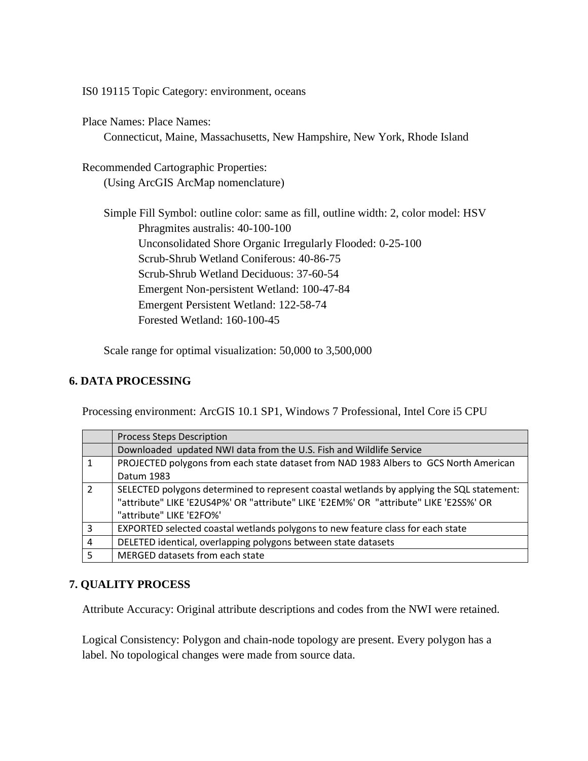IS0 19115 Topic Category: environment, oceans

Place Names: Place Names: Connecticut, Maine, Massachusetts, New Hampshire, New York, Rhode Island

Recommended Cartographic Properties:

(Using ArcGIS ArcMap nomenclature)

Simple Fill Symbol: outline color: same as fill, outline width: 2, color model: HSV Phragmites australis: 40-100-100 Unconsolidated Shore Organic Irregularly Flooded: 0-25-100 Scrub-Shrub Wetland Coniferous: 40-86-75 Scrub-Shrub Wetland Deciduous: 37-60-54 Emergent Non-persistent Wetland: 100-47-84 Emergent Persistent Wetland: 122-58-74 Forested Wetland: 160-100-45

Scale range for optimal visualization: 50,000 to 3,500,000

### **6. DATA PROCESSING**

Processing environment: ArcGIS 10.1 SP1, Windows 7 Professional, Intel Core i5 CPU

|               | <b>Process Steps Description</b>                                                          |
|---------------|-------------------------------------------------------------------------------------------|
|               | Downloaded updated NWI data from the U.S. Fish and Wildlife Service                       |
| 1             | PROJECTED polygons from each state dataset from NAD 1983 Albers to GCS North American     |
|               | Datum 1983                                                                                |
| $\mathcal{P}$ | SELECTED polygons determined to represent coastal wetlands by applying the SQL statement: |
|               | "attribute" LIKE 'E2US4P%' OR "attribute" LIKE 'E2EM%' OR "attribute" LIKE 'E2SS%' OR     |
|               | "attribute" LIKE 'E2FO%'                                                                  |
| 3             | EXPORTED selected coastal wetlands polygons to new feature class for each state           |
| 4             | DELETED identical, overlapping polygons between state datasets                            |
| 5             | MERGED datasets from each state                                                           |

## **7. QUALITY PROCESS**

Attribute Accuracy: Original attribute descriptions and codes from the NWI were retained.

Logical Consistency: Polygon and chain-node topology are present. Every polygon has a label. No topological changes were made from source data.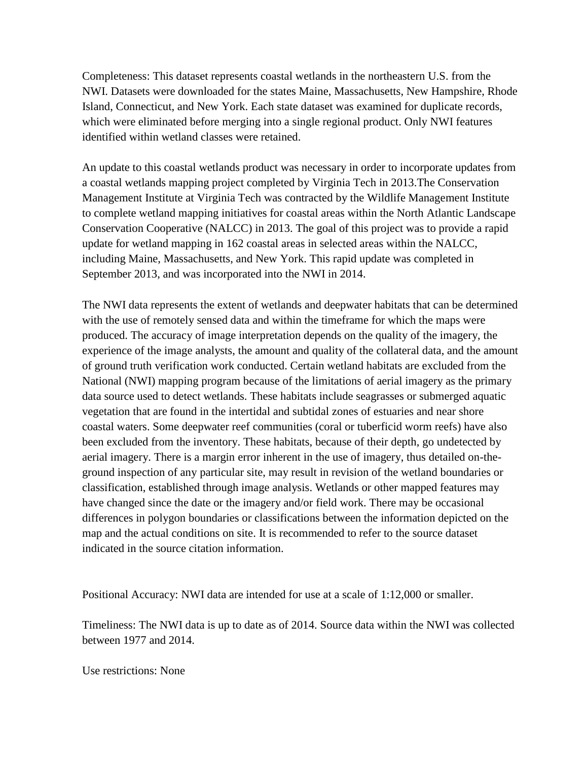Completeness: This dataset represents coastal wetlands in the northeastern U.S. from the NWI. Datasets were downloaded for the states Maine, Massachusetts, New Hampshire, Rhode Island, Connecticut, and New York. Each state dataset was examined for duplicate records, which were eliminated before merging into a single regional product. Only NWI features identified within wetland classes were retained.

An update to this coastal wetlands product was necessary in order to incorporate updates from a coastal wetlands mapping project completed by Virginia Tech in 2013.The Conservation Management Institute at Virginia Tech was contracted by the Wildlife Management Institute to complete wetland mapping initiatives for coastal areas within the North Atlantic Landscape Conservation Cooperative (NALCC) in 2013. The goal of this project was to provide a rapid update for wetland mapping in 162 coastal areas in selected areas within the NALCC, including Maine, Massachusetts, and New York. This rapid update was completed in September 2013, and was incorporated into the NWI in 2014.

The NWI data represents the extent of wetlands and deepwater habitats that can be determined with the use of remotely sensed data and within the timeframe for which the maps were produced. The accuracy of image interpretation depends on the quality of the imagery, the experience of the image analysts, the amount and quality of the collateral data, and the amount of ground truth verification work conducted. Certain wetland habitats are excluded from the National (NWI) mapping program because of the limitations of aerial imagery as the primary data source used to detect wetlands. These habitats include seagrasses or submerged aquatic vegetation that are found in the intertidal and subtidal zones of estuaries and near shore coastal waters. Some deepwater reef communities (coral or tuberficid worm reefs) have also been excluded from the inventory. These habitats, because of their depth, go undetected by aerial imagery. There is a margin error inherent in the use of imagery, thus detailed on-theground inspection of any particular site, may result in revision of the wetland boundaries or classification, established through image analysis. Wetlands or other mapped features may have changed since the date or the imagery and/or field work. There may be occasional differences in polygon boundaries or classifications between the information depicted on the map and the actual conditions on site. It is recommended to refer to the source dataset indicated in the source citation information.

Positional Accuracy: NWI data are intended for use at a scale of 1:12,000 or smaller.

Timeliness: The NWI data is up to date as of 2014. Source data within the NWI was collected between 1977 and 2014.

Use restrictions: None